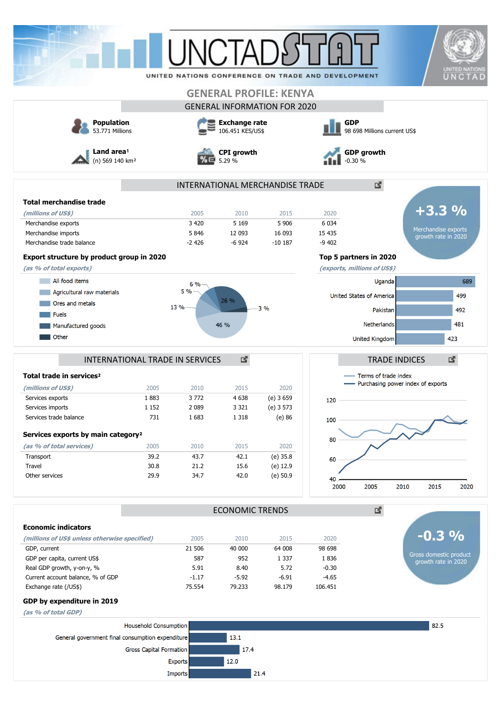|                                                            |                         | <b>UNCTAI</b>                            |                        |                                     |                                                    |                                                             |                                               |
|------------------------------------------------------------|-------------------------|------------------------------------------|------------------------|-------------------------------------|----------------------------------------------------|-------------------------------------------------------------|-----------------------------------------------|
|                                                            |                         |                                          |                        |                                     | UNITED NATIONS CONFERENCE ON TRADE AND DEVELOPMENT |                                                             | <b>UNITED NATIONS</b><br>UNCTAD               |
|                                                            |                         |                                          |                        | <b>GENERAL PROFILE: KENYA</b>       |                                                    |                                                             |                                               |
|                                                            |                         |                                          |                        | <b>GENERAL INFORMATION FOR 2020</b> |                                                    |                                                             |                                               |
|                                                            |                         |                                          |                        |                                     | <b>GDP</b>                                         |                                                             |                                               |
| <b>Population</b><br>53.771 Millions                       |                         | <b>Exchange rate</b><br>106.451 KES/US\$ |                        |                                     | 98 698 Millions current US\$                       |                                                             |                                               |
| Land area <sup>1</sup><br>(n) 569 140 km <sup>2</sup>      |                         | <b>CPI</b> growth<br>5.29 %              |                        |                                     | <b>GDP</b> growth<br>$-0.30%$                      |                                                             |                                               |
|                                                            |                         |                                          |                        | INTERNATIONAL MERCHANDISE TRADE     |                                                    | 國                                                           |                                               |
| <b>Total merchandise trade</b>                             |                         |                                          |                        |                                     |                                                    |                                                             |                                               |
| (millions of US\$)                                         |                         | 2005                                     | 2010                   | 2015                                | 2020                                               |                                                             | $+3.3%$                                       |
| Merchandise exports                                        |                         | 3 4 2 0                                  | 5 1 6 9                | 5 9 0 6                             | 6 0 3 4                                            |                                                             |                                               |
| Merchandise imports                                        |                         | 5846                                     | 12 093                 | 16 093                              | 15 4 35                                            |                                                             | Merchandise exports<br>growth rate in 2020    |
| Merchandise trade balance                                  |                         | $-2426$                                  | $-6924$                | $-10187$                            | $-9402$                                            |                                                             |                                               |
| Export structure by product group in 2020                  |                         |                                          |                        |                                     | Top 5 partners in 2020                             |                                                             |                                               |
| (as % of total exports)                                    |                         |                                          |                        |                                     | (exports, millions of US\$)                        |                                                             |                                               |
| All food items                                             |                         | 6 %                                      |                        |                                     |                                                    | Uganda                                                      | 689                                           |
| Agricultural raw materials                                 |                         | 5%                                       |                        |                                     | United States of America                           |                                                             | 499                                           |
| Ores and metals                                            |                         |                                          | 26 %                   |                                     |                                                    |                                                             |                                               |
| <b>Fuels</b>                                               |                         | 13 %                                     |                        | 3%                                  |                                                    | Pakistan                                                    | 492                                           |
| Manufactured goods                                         |                         |                                          | 46 %                   |                                     |                                                    | Netherlands                                                 | 481                                           |
| Other                                                      |                         |                                          |                        |                                     |                                                    | United Kingdom                                              | 423                                           |
| Total trade in services <sup>2</sup>                       |                         |                                          |                        |                                     |                                                    | Terms of trade index<br>- Purchasing power index of exports |                                               |
| (millions of US\$)                                         | 2005                    | 2010                                     | 2015                   | 2020                                |                                                    |                                                             |                                               |
| Services exports                                           | 1883<br>1 1 5 2         | 3772                                     | 4 6 38<br>3 3 2 1      | $(e)$ 3 659                         | 120                                                |                                                             |                                               |
| Services imports<br>Services trade balance                 | 731                     | 2 0 8 9<br>1683                          | 1 3 1 8                | (e) 3 573<br>$(e)$ 86               |                                                    |                                                             |                                               |
|                                                            |                         |                                          |                        |                                     | 100                                                |                                                             |                                               |
| Services exports by main category <sup>2</sup>             |                         |                                          |                        |                                     | 80                                                 |                                                             |                                               |
| (as % of total services)                                   | 2005                    | 2010                                     | 2015                   | 2020                                |                                                    |                                                             |                                               |
| Transport                                                  | 39.2                    | 43.7                                     | 42.1                   | $(e)$ 35.8                          | 60                                                 |                                                             |                                               |
| Travel                                                     | 30.8                    | 21.2                                     | 15.6                   | (e) 12.9                            |                                                    |                                                             |                                               |
| Other services                                             | 29.9                    | 34.7                                     | 42.0                   | (e) 50.9                            | 40<br>2000                                         | 2005<br>2010                                                | 2015<br>2020                                  |
|                                                            |                         |                                          | <b>ECONOMIC TRENDS</b> |                                     |                                                    | 國                                                           |                                               |
| <b>Economic indicators</b>                                 |                         |                                          |                        |                                     |                                                    |                                                             |                                               |
| (millions of US\$ unless otherwise specified)              |                         | 2005                                     | 2010                   | 2015                                | 2020                                               |                                                             | $-0.3\%$                                      |
| GDP, current                                               |                         | 21 506                                   | 40 000                 | 64 008                              | 98 698                                             |                                                             |                                               |
| GDP per capita, current US\$                               |                         | 587                                      | 952                    | 1 3 3 7                             | 1836                                               |                                                             | Gross domestic product<br>growth rate in 2020 |
| Real GDP growth, y-on-y, %                                 |                         | 5.91                                     | 8.40                   | 5.72                                | $-0.30$                                            |                                                             |                                               |
| Current account balance, % of GDP<br>Exchange rate (/US\$) |                         | $-1.17$<br>75.554                        | $-5.92$<br>79.233      | $-6.91$<br>98.179                   | $-4.65$<br>106.451                                 |                                                             |                                               |
| GDP by expenditure in 2019                                 |                         |                                          |                        |                                     |                                                    |                                                             |                                               |
|                                                            |                         |                                          |                        |                                     |                                                    |                                                             |                                               |
|                                                            |                         |                                          |                        |                                     |                                                    |                                                             |                                               |
|                                                            | Household Consumption   |                                          |                        |                                     |                                                    |                                                             | 82.5                                          |
| General government final consumption expenditure           |                         |                                          | 13.1                   |                                     |                                                    |                                                             |                                               |
|                                                            | Gross Capital Formation |                                          | 17.4                   |                                     |                                                    |                                                             |                                               |
| (as % of total GDP)                                        |                         | <b>Exports</b>                           | 12.0                   |                                     |                                                    |                                                             |                                               |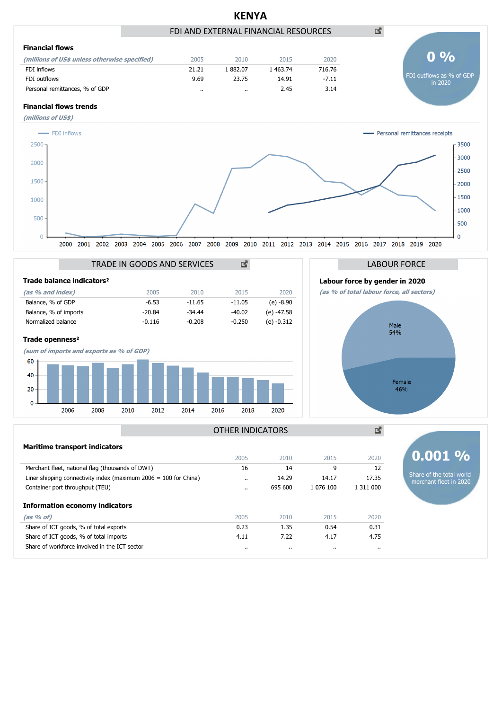

**(as % of)** 2005 2010 2015 2020 Share of ICT goods, % of total exports 0.23 1.35 0.54 0.31 0.31 Share of ICT goods, % of total imports **4.11** 4.75 Share of workforce involved in the ICT sector .. .. .. ..